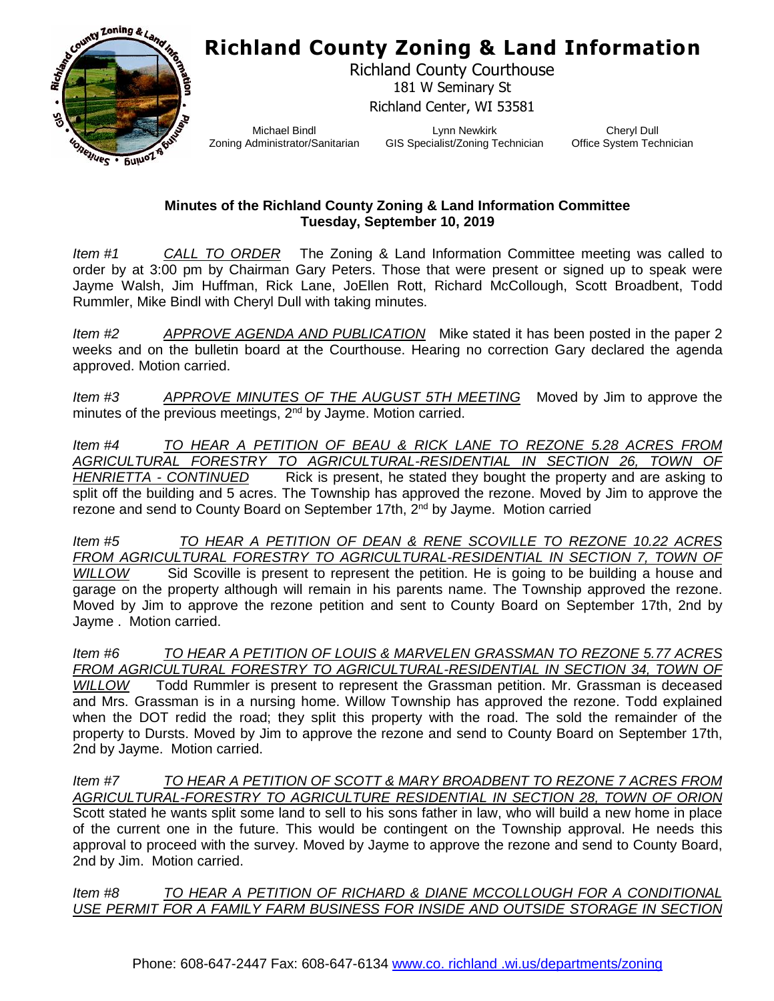

Richland County Courthouse 181 W Seminary St Richland Center, WI 53581

Michael Bindl Zoning Administrator/Sanitarian

Lynn Newkirk GIS Specialist/Zoning Technician

Cheryl Dull Office System Technician

#### **Minutes of the Richland County Zoning & Land Information Committee Tuesday, September 10, 2019**

*Item #1 CALL TO ORDER* The Zoning & Land Information Committee meeting was called to order by at 3:00 pm by Chairman Gary Peters. Those that were present or signed up to speak were Jayme Walsh, Jim Huffman, Rick Lane, JoEllen Rott, Richard McCollough, Scott Broadbent, Todd Rummler, Mike Bindl with Cheryl Dull with taking minutes.

*Item #2 APPROVE AGENDA AND PUBLICATION* Mike stated it has been posted in the paper 2 weeks and on the bulletin board at the Courthouse. Hearing no correction Gary declared the agenda approved. Motion carried.

*Item #3 APPROVE MINUTES OF THE AUGUST 5TH MEETING* Moved by Jim to approve the minutes of the previous meetings, 2<sup>nd</sup> by Jayme. Motion carried.

*Item #4 TO HEAR A PETITION OF BEAU & RICK LANE TO REZONE 5.28 ACRES FROM AGRICULTURAL FORESTRY TO AGRICULTURAL-RESIDENTIAL IN SECTION 26, TOWN OF HENRIETTA - CONTINUED* Rick is present, he stated they bought the property and are asking to split off the building and 5 acres. The Township has approved the rezone. Moved by Jim to approve the rezone and send to County Board on September 17th, 2<sup>nd</sup> by Jayme. Motion carried

*Item #5 TO HEAR A PETITION OF DEAN & RENE SCOVILLE TO REZONE 10.22 ACRES*  FROM AGRICULTURAL FORESTRY TO AGRICULTURAL-RESIDENTIAL IN SECTION 7, TOWN OF *WILLOW* Sid Scoville is present to represent the petition. He is going to be building a house and garage on the property although will remain in his parents name. The Township approved the rezone. Moved by Jim to approve the rezone petition and sent to County Board on September 17th, 2nd by Jayme . Motion carried.

*Item #6 TO HEAR A PETITION OF LOUIS & MARVELEN GRASSMAN TO REZONE 5.77 ACRES FROM AGRICULTURAL FORESTRY TO AGRICULTURAL-RESIDENTIAL IN SECTION 34, TOWN OF WILLOW* Todd Rummler is present to represent the Grassman petition. Mr. Grassman is deceased and Mrs. Grassman is in a nursing home. Willow Township has approved the rezone. Todd explained when the DOT redid the road; they split this property with the road. The sold the remainder of the property to Dursts. Moved by Jim to approve the rezone and send to County Board on September 17th, 2nd by Jayme. Motion carried.

*Item #7 TO HEAR A PETITION OF SCOTT & MARY BROADBENT TO REZONE 7 ACRES FROM AGRICULTURAL-FORESTRY TO AGRICULTURE RESIDENTIAL IN SECTION 28, TOWN OF ORION* Scott stated he wants split some land to sell to his sons father in law, who will build a new home in place of the current one in the future. This would be contingent on the Township approval. He needs this approval to proceed with the survey. Moved by Jayme to approve the rezone and send to County Board, 2nd by Jim. Motion carried.

*Item #8 TO HEAR A PETITION OF RICHARD & DIANE MCCOLLOUGH FOR A CONDITIONAL USE PERMIT FOR A FAMILY FARM BUSINESS FOR INSIDE AND OUTSIDE STORAGE IN SECTION*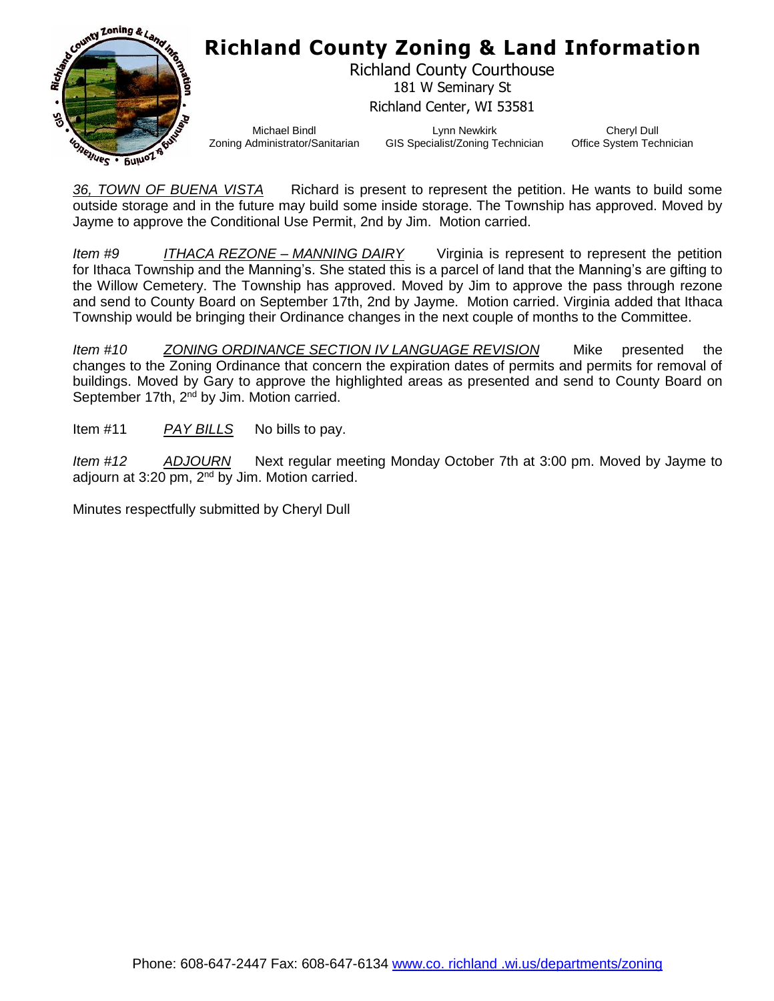

Richland County Courthouse 181 W Seminary St Richland Center, WI 53581

Michael Bindl Zoning Administrator/Sanitarian

Lynn Newkirk GIS Specialist/Zoning Technician

Cheryl Dull Office System Technician

*36, TOWN OF BUENA VISTA* Richard is present to represent the petition. He wants to build some outside storage and in the future may build some inside storage. The Township has approved. Moved by Jayme to approve the Conditional Use Permit, 2nd by Jim. Motion carried.

*Item #9 ITHACA REZONE – MANNING DAIRY* Virginia is represent to represent the petition for Ithaca Township and the Manning's. She stated this is a parcel of land that the Manning's are gifting to the Willow Cemetery. The Township has approved. Moved by Jim to approve the pass through rezone and send to County Board on September 17th, 2nd by Jayme. Motion carried. Virginia added that Ithaca Township would be bringing their Ordinance changes in the next couple of months to the Committee.

*Item #10 ZONING ORDINANCE SECTION IV LANGUAGE REVISION* Mike presented the changes to the Zoning Ordinance that concern the expiration dates of permits and permits for removal of buildings. Moved by Gary to approve the highlighted areas as presented and send to County Board on September 17th, 2<sup>nd</sup> by Jim. Motion carried.

Item #11 *PAY BILLS* No bills to pay.

*Item #12 ADJOURN* Next regular meeting Monday October 7th at 3:00 pm. Moved by Jayme to adjourn at 3:20 pm, 2<sup>nd</sup> by Jim. Motion carried.

Minutes respectfully submitted by Cheryl Dull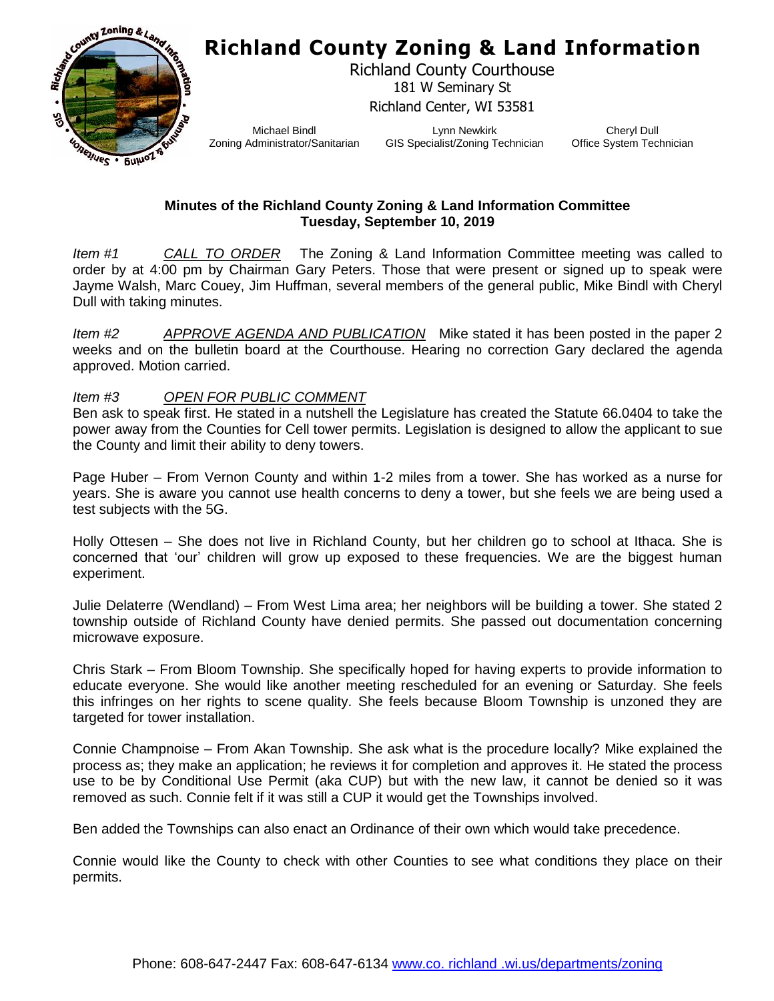

Richland County Courthouse 181 W Seminary St Richland Center, WI 53581

Michael Bindl Zoning Administrator/Sanitarian

Lynn Newkirk GIS Specialist/Zoning Technician

Cheryl Dull Office System Technician

#### **Minutes of the Richland County Zoning & Land Information Committee Tuesday, September 10, 2019**

*Item #1 CALL TO ORDER* The Zoning & Land Information Committee meeting was called to order by at 4:00 pm by Chairman Gary Peters. Those that were present or signed up to speak were Jayme Walsh, Marc Couey, Jim Huffman, several members of the general public, Mike Bindl with Cheryl Dull with taking minutes.

*Item #2 APPROVE AGENDA AND PUBLICATION* Mike stated it has been posted in the paper 2 weeks and on the bulletin board at the Courthouse. Hearing no correction Gary declared the agenda approved. Motion carried.

*Item #3 OPEN FOR PUBLIC COMMENT*

Ben ask to speak first. He stated in a nutshell the Legislature has created the Statute 66.0404 to take the power away from the Counties for Cell tower permits. Legislation is designed to allow the applicant to sue the County and limit their ability to deny towers.

Page Huber – From Vernon County and within 1-2 miles from a tower. She has worked as a nurse for years. She is aware you cannot use health concerns to deny a tower, but she feels we are being used a test subjects with the 5G.

Holly Ottesen – She does not live in Richland County, but her children go to school at Ithaca. She is concerned that 'our' children will grow up exposed to these frequencies. We are the biggest human experiment.

Julie Delaterre (Wendland) – From West Lima area; her neighbors will be building a tower. She stated 2 township outside of Richland County have denied permits. She passed out documentation concerning microwave exposure.

Chris Stark – From Bloom Township. She specifically hoped for having experts to provide information to educate everyone. She would like another meeting rescheduled for an evening or Saturday. She feels this infringes on her rights to scene quality. She feels because Bloom Township is unzoned they are targeted for tower installation.

Connie Champnoise – From Akan Township. She ask what is the procedure locally? Mike explained the process as; they make an application; he reviews it for completion and approves it. He stated the process use to be by Conditional Use Permit (aka CUP) but with the new law, it cannot be denied so it was removed as such. Connie felt if it was still a CUP it would get the Townships involved.

Ben added the Townships can also enact an Ordinance of their own which would take precedence.

Connie would like the County to check with other Counties to see what conditions they place on their permits.